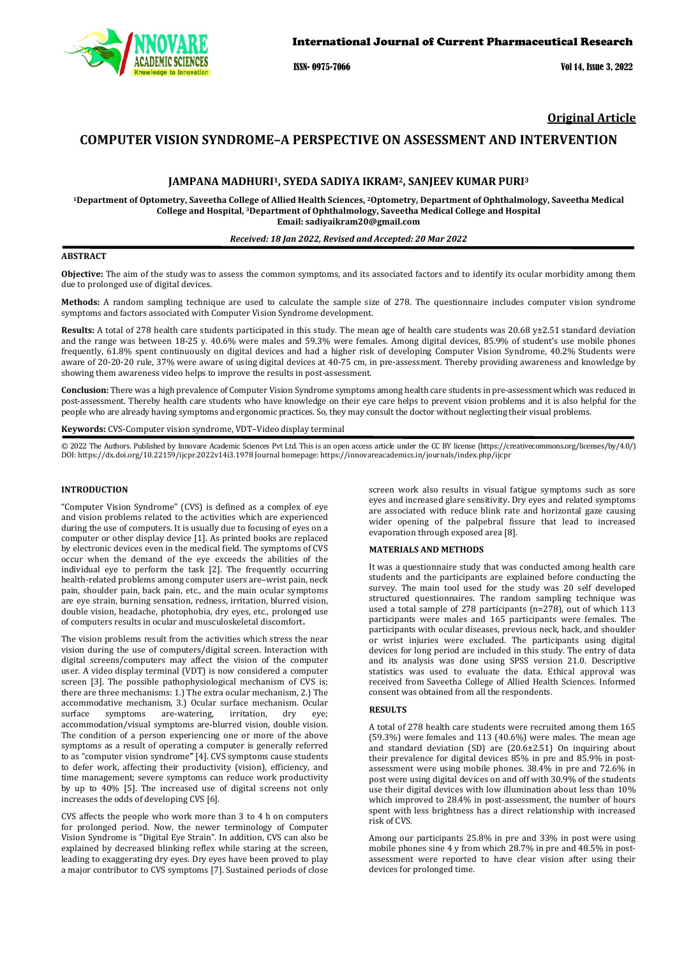

ISSN- 0975-7066 Vol 14, Issue 3, 2022

# **Original Article**

# **COMPUTER VISION SYNDROME–A PERSPECTIVE ON ASSESSMENT AND INTERVENTION**

## **JAMPANA MADHURI1, SYEDA SADIYA IKRAM2, SANJEEV KUMAR PURI3**

**1Department of Optometry, Saveetha College of Allied Health Sciences, 2Optometry, Department of Ophthalmology, Saveetha Medical College and Hospital, 3Department of Ophthalmology, Saveetha Medical College and Hospital Email: sadiyaikram20@gmail.com**

#### *Received: 18 Jan 2022, Revised and Accepted: 20 Mar 2022*

## **ABSTRACT**

**Objective:** The aim of the study was to assess the common symptoms, and its associated factors and to identify its ocular morbidity among them due to prolonged use of digital devices.

**Methods:** A random sampling technique are used to calculate the sample size of 278. The questionnaire includes computer vision syndrome symptoms and factors associated with Computer Vision Syndrome development.

**Results:** A total of 278 health care students participated in this study. The mean age of health care students was 20.68 y±2.51 standard deviation and the range was between 18-25 y. 40.6% were males and 59.3% were females. Among digital devices, 85.9% of student's use mobile phones frequently, 61.8% spent continuously on digital devices and had a higher risk of developing Computer Vision Syndrome, 40.2% Students were aware of 20-20-20 rule, 37% were aware of using digital devices at 40-75 cm, in pre-assessment. Thereby providing awareness and knowledge by showing them awareness video helps to improve the results in post-assessment.

**Conclusion:** There was a high prevalence of Computer Vision Syndrome symptoms among health care students in pre-assessment which was reduced in post-assessment. Thereby health care students who have knowledge on their eye care helps to prevent vision problems and it is also helpful for the people who are already having symptoms and ergonomic practices. So, they may consult the doctor without neglecting their visual problems.

**Keywords:** CVS-Computer vision syndrome, VDT–Video display terminal

© 2022 The Authors. Published by Innovare Academic Sciences Pvt Ltd. This is an open access article under the CC BY license [\(https://creativecommons.org/licenses/by/4.0/\)](https://creativecommons.org/licenses/by/4.0/) DOI[: https://dx.doi.org/10.22159/ijcpr.2022v14i3.1](https://dx.doi.org/10.22159/ijcpr.2022v14i3)978 Journal homepage[: https://innovareacademics.in/journals/index.php/ijcpr](https://innovareacademics.in/journals/index.php/ijcpr)

#### **INTRODUCTION**

"Computer Vision Syndrome" (CVS) is defined as a complex of eye and vision problems related to the activities which are experienced during the use of computers. It is usually due to focusing of eyes on a computer or other display device [1]. As printed books are replaced by electronic devices even in the medical field. The symptoms of CVS occur when the demand of the eye exceeds the abilities of the individual eye to perform the task [2]. The frequently occurring health-related problems among computer users are–wrist pain, neck pain, shoulder pain, back pain, etc., and the main ocular symptoms are eye strain, burning sensation, redness, irritation, blurred vision, double vision, headache, photophobia, dry eyes, etc., prolonged use of computers results in ocular and musculoskeletal discomfort**.**

The vision problems result from the activities which stress the near vision during the use of computers/digital screen. Interaction with digital screens/computers may affect the vision of the computer user. A video display terminal (VDT) is now considered a computer screen [3]. The possible pathophysiological mechanism of CVS is; there are three mechanisms: 1.) The extra ocular mechanism, 2.) The accommodative mechanism, 3.) Ocular surface mechanism. Ocular surface symptoms are-watering, irritation, dry eye; are-watering, accommodation/visual symptoms are-blurred vision, double vision. The condition of a person experiencing one or more of the above symptoms as a result of operating a computer is generally referred to as "computer vision syndrome**"** [4]. CVS symptoms cause students to defer work, affecting their productivity (vision), efficiency, and time management; severe symptoms can reduce work productivity by up to 40% [5]. The increased use of digital screens not only increases the odds of developing CVS [6].

CVS affects the people who work more than 3 to 4 h on computers for prolonged period. Now, the newer terminology of Computer Vision Syndrome is "Digital Eye Strain". In addition, CVS can also be explained by decreased blinking reflex while staring at the screen, leading to exaggerating dry eyes. Dry eyes have been proved to play a major contributor to CVS symptoms [7]. Sustained periods of close screen work also results in visual fatigue symptoms such as sore eyes and increased glare sensitivity. Dry eyes and related symptoms are associated with reduce blink rate and horizontal gaze causing wider opening of the palpebral fissure that lead to increased evaporation through exposed area [8].

#### **MATERIALS AND METHODS**

It was a questionnaire study that was conducted among health care students and the participants are explained before conducting the survey. The main tool used for the study was 20 self developed structured questionnaires. The random sampling technique was used a total sample of 278 participants (n=278), out of which 113 participants were males and 165 participants were females. The participants with ocular diseases, previous neck, back, and shoulder or wrist injuries were excluded. The participants using digital devices for long period are included in this study. The entry of data and its analysis was done using SPSS version 21.0. Descriptive statistics was used to evaluate the data. Ethical approval was received from Saveetha College of Allied Health Sciences. Informed consent was obtained from all the respondents.

#### **RESULTS**

A total of 278 health care students were recruited among them 165 (59.3%) were females and 113 (40.6%) were males. The mean age and standard deviation (SD) are (20.6±2.51) On inquiring about their prevalence for digital devices 85% in pre and 85.9% in postassessment were using mobile phones. 38.4% in pre and 72.6% in post were using digital devices on and off with 30.9% of the students use their digital devices with low illumination about less than 10% which improved to 28.4% in post-assessment, the number of hours spent with less brightness has a direct relationship with increased risk of CVS.

Among our participants 25.8% in pre and 33% in post were using mobile phones sine 4 y from which 28.7% in pre and 48.5% in postassessment were reported to have clear vision after using their devices for prolonged time.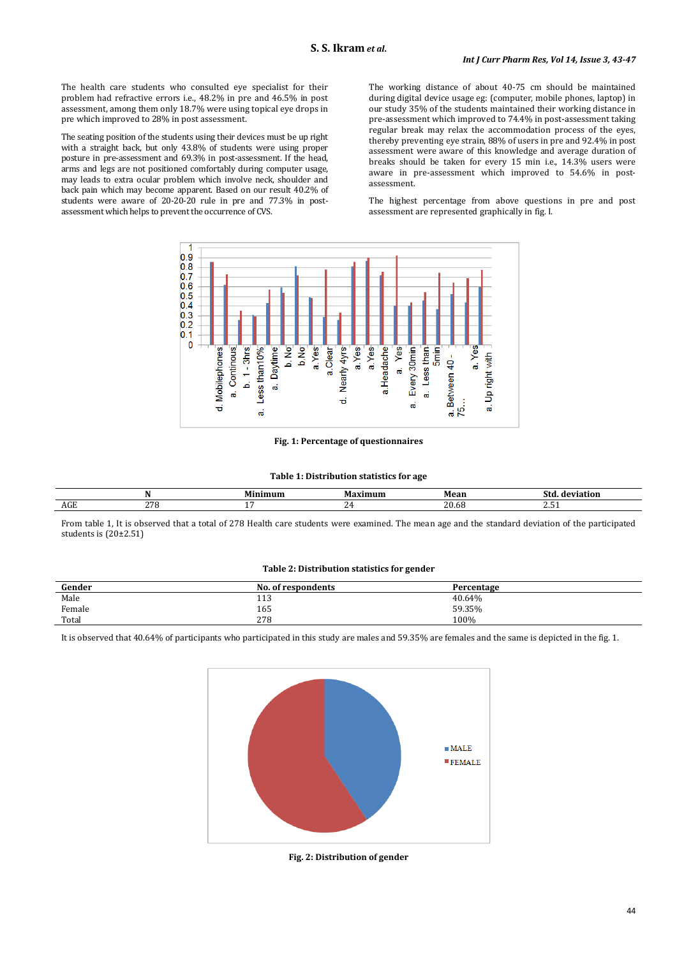The health care students who consulted eye specialist for their problem had refractive errors i.e., 48.2% in pre and 46.5% in post assessment, among them only 18.7% were using topical eye drops in pre which improved to 28% in post assessment.

The seating position of the students using their devices must be up right with a straight back, but only 43.8% of students were using proper posture in pre-assessment and 69.3% in post-assessment. If the head, arms and legs are not positioned comfortably during computer usage, may leads to extra ocular problem which involve neck, shoulder and back pain which may become apparent. Based on our result 40.2% of students were aware of 20-20-20 rule in pre and 77.3% in postassessment which helps to prevent the occurrence of CVS.

The working distance of about 40-75 cm should be maintained during digital device usage eg: (computer, mobile phones, laptop) in our study 35% of the students maintained their working distance in pre-assessment which improved to 74.4% in post-assessment taking regular break may relax the accommodation process of the eyes, thereby preventing eye strain, 88% of users in pre and 92.4% in post assessment were aware of this knowledge and average duration of breaks should be taken for every 15 min i.e., 14.3% users were aware in pre-assessment which improved to 54.6% in postassessment.

The highest percentage from above questions in pre and post assessment are represented graphically in fig. I.



## **Fig. 1: Percentage of questionnaires**

#### **Table 1: Distribution statistics for age**

|           |     | - - - | м. | $\mathbf{a}$   |          |
|-----------|-----|-------|----|----------------|----------|
| --<br>AGE | 270 |       | -  | ∩ ∩<br>- 40.00 | <u>.</u> |

From table 1, It is observed that a total of 278 Health care students were examined. The mean age and the standard deviation of the participated students is (20±2.51)

#### **Table 2: Distribution statistics for gender**

| Gender | No.<br>. of respondents | Percentage |
|--------|-------------------------|------------|
| Male   | 113                     | 40.64%     |
| Female | 165                     | 59.35%     |
| Total  | 278                     | 100%       |

It is observed that 40.64% of participants who participated in this study are males and 59.35% are females and the same is depicted in the fig. 1.



**Fig. 2: Distribution of gender**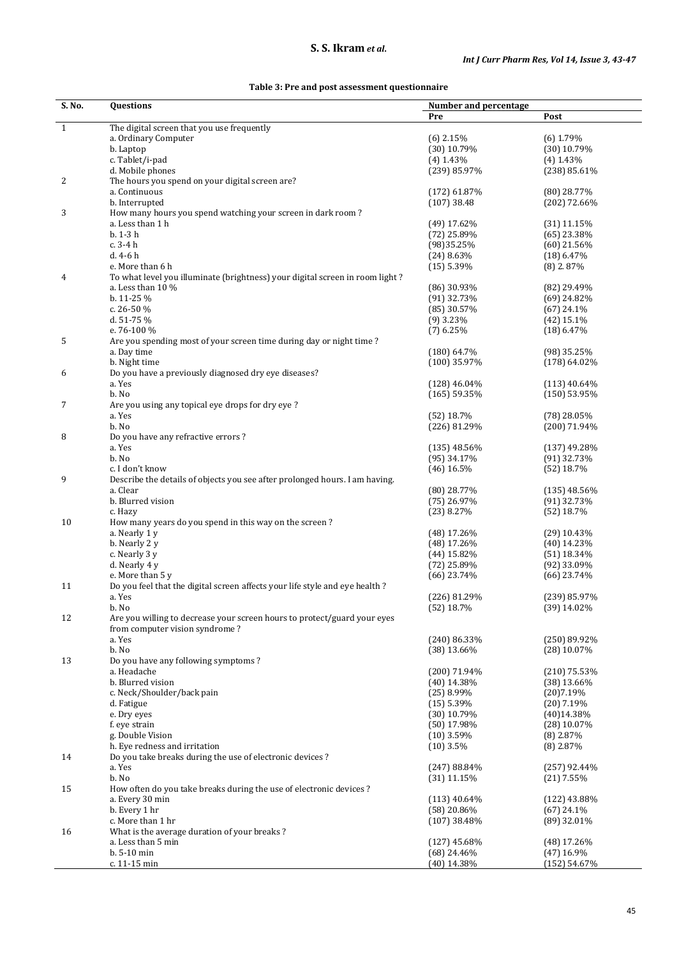# **S. S. Ikram** *et al***.**

| S. No.       | <b>Questions</b>                                                                  | Number and percentage        |                                |
|--------------|-----------------------------------------------------------------------------------|------------------------------|--------------------------------|
|              |                                                                                   | Pre                          | Post                           |
| $\mathbf{1}$ | The digital screen that you use frequently                                        |                              |                                |
|              | a. Ordinary Computer                                                              | $(6)$ 2.15%                  | $(6)$ 1.79%                    |
|              | b. Laptop                                                                         | $(30)$ 10.79%                | $(30)$ 10.79%                  |
|              | c. Tablet/i-pad                                                                   | $(4)$ 1.43%                  | $(4)$ 1.43%                    |
|              | d. Mobile phones                                                                  | (239) 85.97%                 | (238) 85.61%                   |
| 2            | The hours you spend on your digital screen are?                                   |                              |                                |
|              | a. Continuous                                                                     | $(172)$ 61.87%               | $(80)$ 28.77%                  |
|              | b. Interrupted                                                                    | $(107)$ 38.48                | $(202)$ 72.66%                 |
| 3            | How many hours you spend watching your screen in dark room?                       |                              |                                |
|              | a. Less than 1 h<br>$b. 1-3h$                                                     | $(49)$ 17.62%                | $(31)$ 11.15%                  |
|              | c. 3-4 h                                                                          | $(72)$ 25.89%<br>(98) 35.25% | $(65)$ 23.38%<br>$(60)$ 21.56% |
|              | d. 4-6 h                                                                          | $(24)$ 8.63%                 | $(18)$ 6.47%                   |
|              | e. More than 6 h                                                                  | $(15)$ 5.39%                 | $(8)$ 2.87%                    |
| 4            | To what level you illuminate (brightness) your digital screen in room light?      |                              |                                |
|              | a. Less than $10\%$                                                               | (86) 30.93%                  | (82) 29.49%                    |
|              | b. 11-25 %                                                                        | $(91)$ 32.73%                | $(69)$ 24.82%                  |
|              | c. 26-50 %                                                                        | $(85)$ 30.57%                | $(67)$ 24.1%                   |
|              | d. 51-75 %                                                                        | $(9)$ 3.23%                  | $(42)$ 15.1%                   |
|              | e. 76-100 %                                                                       | $(7)$ 6.25%                  | $(18)$ 6.47%                   |
| 5            | Are you spending most of your screen time during day or night time?               |                              |                                |
|              | a. Day time                                                                       | $(180)$ 64.7%                | $(98)$ 35.25%                  |
|              | b. Night time                                                                     | (100) 35.97%                 | $(178)$ 64.02%                 |
| 6            | Do you have a previously diagnosed dry eye diseases?                              |                              |                                |
|              | a. Yes                                                                            | $(128)$ 46.04%               | $(113)$ 40.64%                 |
|              | b. No                                                                             | $(165)$ 59.35%               | $(150)$ 53.95%                 |
| 7            | Are you using any topical eye drops for dry eye ?                                 |                              |                                |
|              | a. Yes                                                                            | $(52)$ 18.7%                 | $(78)$ 28.05%                  |
|              | b. No                                                                             | (226) 81.29%                 | $(200)$ 71.94%                 |
| 8            | Do you have any refractive errors?                                                |                              |                                |
|              | a. Yes                                                                            | $(135)$ 48.56%               | $(137)$ 49.28%                 |
|              | b. No                                                                             | $(95)$ 34.17%                | $(91)$ 32.73%                  |
|              | c. I don't know                                                                   | $(46)$ 16.5%                 | $(52)$ 18.7%                   |
| 9            | Describe the details of objects you see after prolonged hours. I am having.       |                              |                                |
|              | a. Clear                                                                          | $(80)$ 28.77%                | $(135)$ 48.56%                 |
|              | b. Blurred vision                                                                 | $(75)$ 26.97%                | $(91)$ 32.73%                  |
|              | c. Hazy                                                                           | $(23)$ 8.27%                 | $(52)$ 18.7%                   |
| 10           | How many years do you spend in this way on the screen?                            |                              |                                |
|              | a. Nearly 1 y                                                                     | $(48)$ 17.26%                | $(29)$ 10.43%                  |
|              | b. Nearly 2 y                                                                     | (48) 17.26%                  | $(40)$ 14.23%                  |
|              | c. Nearly 3 y                                                                     | $(44)$ 15.82%                | $(51)$ 18.34%                  |
|              | d. Nearly 4 y                                                                     | $(72)$ 25.89%                | $(92)$ 33.09%                  |
|              | e. More than 5 y                                                                  | $(66)$ 23.74%                | $(66)$ 23.74%                  |
| 11           | Do you feel that the digital screen affects your life style and eye health ?      |                              |                                |
|              | a. Yes                                                                            | (226) 81.29%                 | (239) 85.97%                   |
| 12           | b. No<br>Are you willing to decrease your screen hours to protect/guard your eyes | $(52)$ 18.7%                 | $(39)$ 14.02%                  |
|              | from computer vision syndrome?                                                    |                              |                                |
|              | a. Yes                                                                            | $(240)$ 86.33%               | $(250)$ 89.92%                 |
|              | b. No                                                                             | $(38)$ 13.66%                | $(28)$ 10.07%                  |
| 13           | Do you have any following symptoms?                                               |                              |                                |
|              | a. Headache                                                                       | (200) 71.94%                 | $(210)$ 75.53%                 |
|              | b. Blurred vision                                                                 | $(40)$ 14.38%                | $(38)$ 13.66%                  |
|              | c. Neck/Shoulder/back pain                                                        | $(25)$ 8.99%                 | (20)7.19%                      |
|              | d. Fatigue                                                                        | $(15)$ 5.39%                 | $(20)$ 7.19%                   |
|              | e. Dry eyes                                                                       | $(30)$ 10.79%                | (40)14.38%                     |
|              | f. eye strain                                                                     | $(50)$ 17.98%                | $(28)$ 10.07%                  |
|              | g. Double Vision                                                                  | $(10)$ 3.59%                 | $(8)$ 2.87%                    |
|              | h. Eye redness and irritation                                                     | $(10)$ 3.5%                  | $(8)$ 2.87%                    |
| 14           | Do you take breaks during the use of electronic devices?                          |                              |                                |
|              | a. Yes                                                                            | $(247) 88.84\%$              | $(257)$ 92.44%                 |
|              | b. No                                                                             | $(31)$ 11.15%                | $(21)$ 7.55%                   |
| 15           | How often do you take breaks during the use of electronic devices?                |                              |                                |
|              | a. Every 30 min                                                                   | $(113)$ 40.64%               | $(122)$ 43.88%                 |
|              | b. Every 1 hr                                                                     | $(58)$ 20.86%                | $(67)$ 24.1%                   |
|              | c. More than 1 hr                                                                 | $(107)$ 38.48%               | $(89)$ 32.01%                  |
| 16           | What is the average duration of your breaks?                                      |                              |                                |
|              | a. Less than 5 min                                                                | $(127)$ 45.68%               | $(48)$ 17.26%                  |
|              | b. 5-10 min                                                                       | $(68)$ 24.46%                | $(47)$ 16.9%                   |
|              | c. 11-15 min                                                                      | (40) 14.38%                  | (152) 54.67%                   |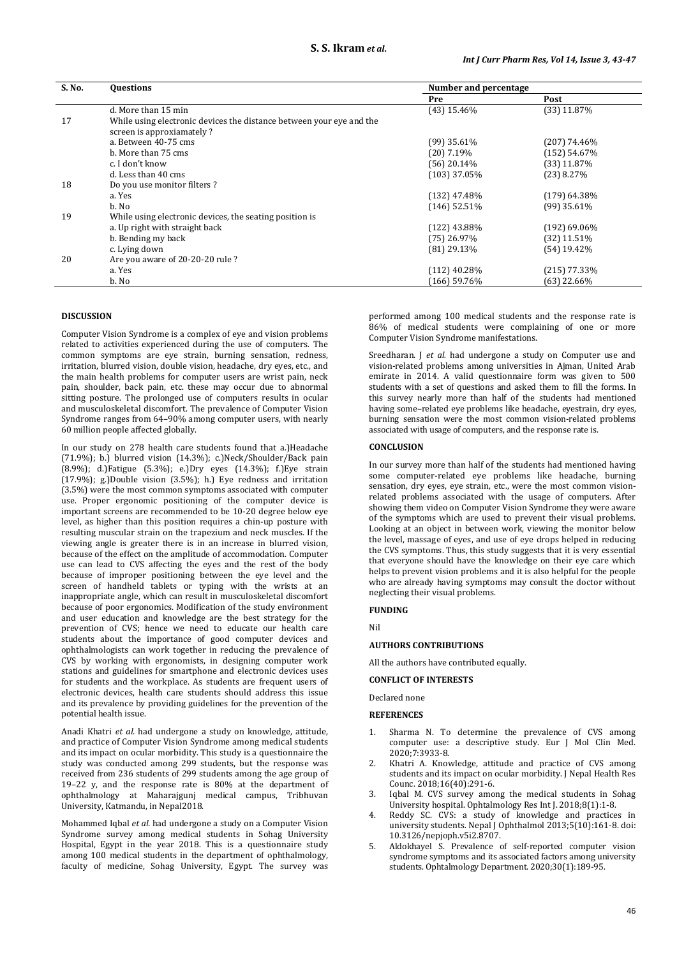| S. No. | <b>Questions</b>                                                     | Number and percentage |                |
|--------|----------------------------------------------------------------------|-----------------------|----------------|
|        |                                                                      | Pre                   | Post           |
|        | d. More than 15 min                                                  | $(43)$ 15.46%         | $(33)$ 11.87%  |
| 17     | While using electronic devices the distance between your eye and the |                       |                |
|        | screen is approxiamately?                                            |                       |                |
|        | a. Between 40-75 cms                                                 | $(99)$ 35.61%         | (207) 74.46%   |
|        | b. More than 75 cms                                                  | $(20)$ 7.19%          | (152) 54.67%   |
|        | c. I don't know                                                      | $(56)$ 20.14%         | (33) 11.87%    |
|        | d. Less than 40 cms                                                  | $(103)$ 37.05%        | $(23)$ 8.27%   |
| 18     | Do you use monitor filters?                                          |                       |                |
|        | a. Yes                                                               | $(132)$ 47.48%        | $(179)$ 64.38% |
|        | b. No                                                                | $(146)$ 52.51%        | $(99)$ 35.61%  |
| 19     | While using electronic devices, the seating position is              |                       |                |
|        | a. Up right with straight back                                       | $(122)$ 43.88%        | $(192)$ 69.06% |
|        | b. Bending my back                                                   | $(75)$ 26.97%         | $(32)$ 11.51%  |
|        | c. Lying down                                                        | $(81)$ 29.13%         | $(54)$ 19.42%  |
| 20     | Are you aware of 20-20-20 rule?                                      |                       |                |
|        | a. Yes                                                               | $(112)$ 40.28%        | (215) 77.33%   |
|        | b. No                                                                | (166) 59.76%          | (63) 22.66%    |

### **DISCUSSION**

Computer Vision Syndrome is a complex of eye and vision problems related to activities experienced during the use of computers. The common symptoms are eye strain, burning sensation, redness, irritation, blurred vision, double vision, headache, dry eyes, etc., and the main health problems for computer users are wrist pain, neck pain, shoulder, back pain, etc. these may occur due to abnormal sitting posture. The prolonged use of computers results in ocular and musculoskeletal discomfort. The prevalence of Computer Vision Syndrome ranges from 64–90% among computer users, with nearly 60 million people affected globally.

In our study on 278 health care students found that a.)Headache (71.9%); b.) blurred vision (14.3%); c.)Neck/Shoulder/Back pain (8.9%); d.)Fatigue (5.3%); e.)Dry eyes (14.3%); f.)Eye strain (17.9%); g.)Double vision (3.5%); h.) Eye redness and irritation (3.5%) were the most common symptoms associated with computer use. Proper ergonomic positioning of the computer device is important screens are recommended to be 10-20 degree below eye level, as higher than this position requires a chin-up posture with resulting muscular strain on the trapezium and neck muscles. If the viewing angle is greater there is in an increase in blurred vision, because of the effect on the amplitude of accommodation. Computer use can lead to CVS affecting the eyes and the rest of the body because of improper positioning between the eye level and the screen of handheld tablets or typing with the wrists at an inappropriate angle, which can result in musculoskeletal discomfort because of poor ergonomics. Modification of the study environment and user education and knowledge are the best strategy for the prevention of CVS; hence we need to educate our health care students about the importance of good computer devices and ophthalmologists can work together in reducing the prevalence of CVS by working with ergonomists, in designing computer work stations and guidelines for smartphone and electronic devices uses for students and the workplace. As students are frequent users of electronic devices, health care students should address this issue and its prevalence by providing guidelines for the prevention of the potential health issue.

Anadi Khatri *et al.* had undergone a study on knowledge, attitude, and practice of Computer Vision Syndrome among medical students and its impact on ocular morbidity. This study is a questionnaire the study was conducted among 299 students, but the response was received from 236 students of 299 students among the age group of 19–22 y, and the response rate is 80% at the department of ophthalmology at Maharajgunj medical campus, Tribhuvan University, Katmandu, in Nepal2018.

Mohammed Iqbal *et al.* had undergone a study on a Computer Vision Syndrome survey among medical students in Sohag University Hospital, Egypt in the year 2018. This is a questionnaire study among 100 medical students in the department of ophthalmology, faculty of medicine, Sohag University, Egypt. The survey was performed among 100 medical students and the response rate is 86% of medical students were complaining of one or more Computer Vision Syndrome manifestations.

Sreedharan. J *et al.* had undergone a study on Computer use and vision-related problems among universities in Ajman, United Arab emirate in 2014. A valid questionnaire form was given to 500 students with a set of questions and asked them to fill the forms. In this survey nearly more than half of the students had mentioned having some–related eye problems like headache, eyestrain, dry eyes, burning sensation were the most common vision-related problems associated with usage of computers, and the response rate is.

#### **CONCLUSION**

In our survey more than half of the students had mentioned having some computer-related eye problems like headache, burning sensation, dry eyes, eye strain, etc., were the most common visionrelated problems associated with the usage of computers. After showing them video on Computer Vision Syndrome they were aware of the symptoms which are used to prevent their visual problems. Looking at an object in between work, viewing the monitor below the level, massage of eyes, and use of eye drops helped in reducing the CVS symptoms. Thus, this study suggests that it is very essential that everyone should have the knowledge on their eye care which helps to prevent vision problems and it is also helpful for the people who are already having symptoms may consult the doctor without neglecting their visual problems.

## **FUNDING**

Nil

#### **AUTHORS CONTRIBUTIONS**

All the authors have contributed equally.

## **CONFLICT OF INTERESTS**

Declared none

### **REFERENCES**

- 1. Sharma N. To determine the prevalence of CVS among computer use: a descriptive study. Eur J Mol Clin Med. 2020;7:3933-8.
- 2. Khatri A. Knowledge, attitude and practice of CVS among students and its impact on ocular morbidity. J Nepal Health Res Counc. 2018;16(40):291-6.
- 3. Iqbal M. CVS survey among the medical students in Sohag University hospital. Ophtalmology Res Int J. 2018;8(1):1-8.
- 4. Reddy SC. CVS: a study of knowledge and practices in university students. Nepal J Ophthalmol 2013;5(10):161-8. doi: 10.3126/nepjoph.v5i2.8707.
- Aldokhayel S. Prevalence of self-reported computer vision syndrome symptoms and its associated factors among university students. Ophtalmology Department. 2020;30(1):189-95.